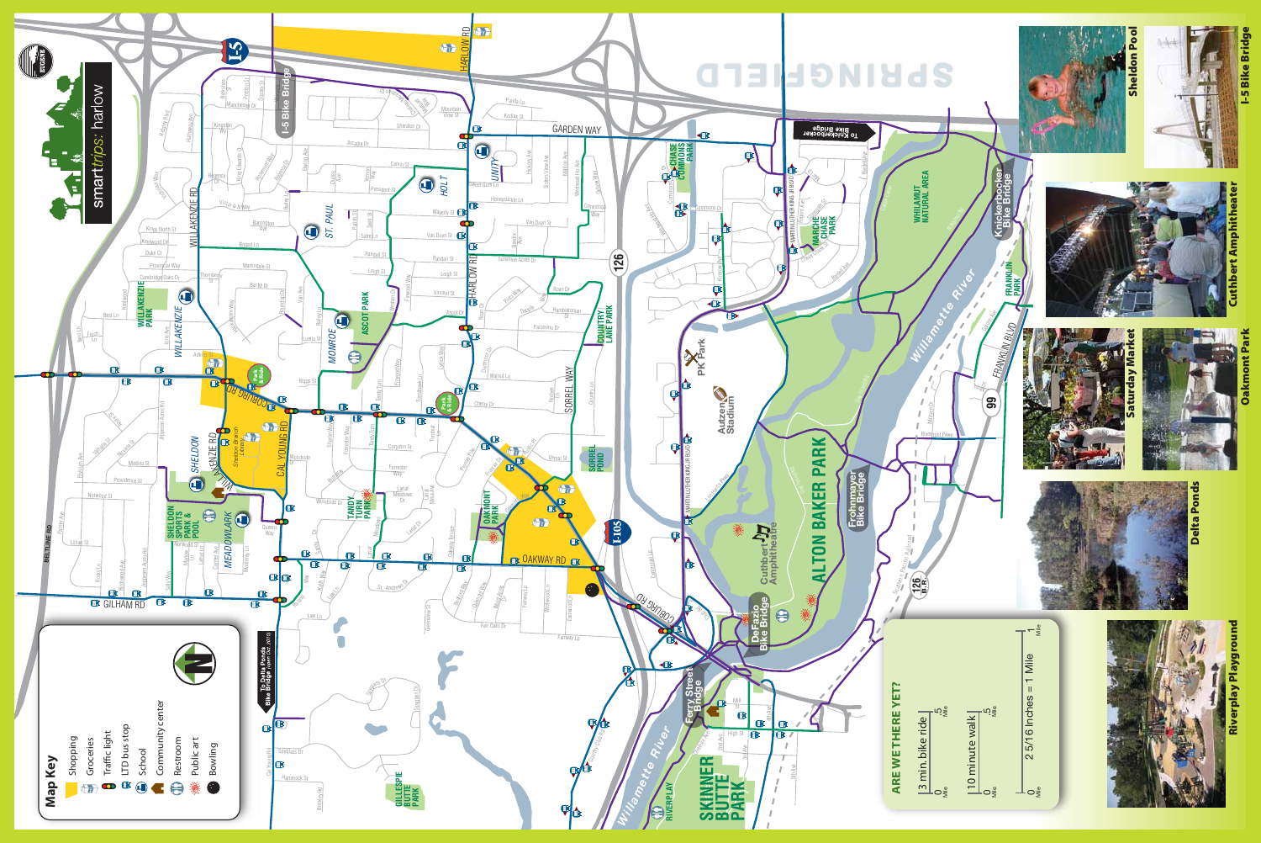